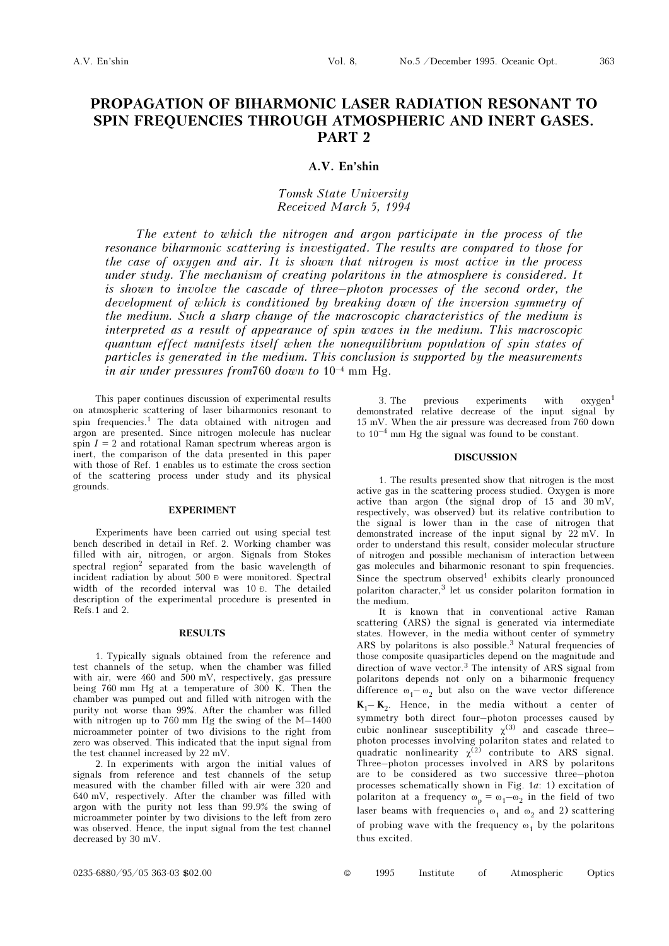# PROPAGATION OF BIHARMONIC LASER RADIATION RESONANT TO SPIN FREQUENCIES THROUGH ATMOSPHERIC AND INERT GASES. PART 2

# A.V. En'shin

# Tomsk State University Received March 5, 1994

The extent to which the nitrogen and argon participate in the process of the resonance biharmonic scattering is investigated. The results are compared to those for the case of oxygen and air. It is shown that nitrogen is most active in the process under study. The mechanism of creating polaritons in the atmosphere is considered. It is shown to involve the cascade of three–photon processes of the second order, the development of which is conditioned by breaking down of the inversion symmetry of the medium. Such a sharp change of the macroscopic characteristics of the medium is interpreted as a result of appearance of spin waves in the medium. This macroscopic quantum effect manifests itself when the nonequilibrium population of spin states of particles is generated in the medium. This conclusion is supported by the measurements in air under pressures from 760 down to  $10^{-4}$  mm Hg.

This paper continues discussion of experimental results on atmospheric scattering of laser biharmonics resonant to spin frequencies.1 The data obtained with nitrogen and argon are presented. Since nitrogen molecule has nuclear spin  $I = 2$  and rotational Raman spectrum whereas argon is inert, the comparison of the data presented in this paper with those of Ref. 1 enables us to estimate the cross section of the scattering process under study and its physical grounds.

# EXPERIMENT

Experiments have been carried out using special test bench described in detail in Ref. 2. Working chamber was filled with air, nitrogen, or argon. Signals from Stokes spectral region<sup>2</sup> separated from the basic wavelength of incident radiation by about 500 Ð were monitored. Spectral width of the recorded interval was 10 Ð. The detailed description of the experimental procedure is presented in Refs.1 and 2.

## RESULTS

1. Typically signals obtained from the reference and test channels of the setup, when the chamber was filled with air, were 460 and 500 mV, respectively, gas pressure being 760 mm Hg at a temperature of 300 K. Then the chamber was pumped out and filled with nitrogen with the purity not worse than 99%. After the chamber was filled with nitrogen up to 760 mm Hg the swing of the M–1400 microammeter pointer of two divisions to the right from zero was observed. This indicated that the input signal from the test channel increased by 22 mV.

2. In experiments with argon the initial values of signals from reference and test channels of the setup measured with the chamber filled with air were 320 and 640 mV, respectively. After the chamber was filled with argon with the purity not less than 99.9% the swing of microammeter pointer by two divisions to the left from zero was observed. Hence, the input signal from the test channel decreased by 30 mV.

3. The previous experiments with  $oxygen<sup>1</sup>$ demonstrated relative decrease of the input signal by 15 mV. When the air pressure was decreased from 760 down to  $10^{-4}$  mm Hg the signal was found to be constant.

#### DISCUSSION

1. The results presented show that nitrogen is the most active gas in the scattering process studied. Oxygen is more active than argon (the signal drop of 15 and 30 mV, respectively, was observed) but its relative contribution to the signal is lower than in the case of nitrogen that demonstrated increase of the input signal by 22 mV. In order to understand this result, consider molecular structure of nitrogen and possible mechanism of interaction between gas molecules and biharmonic resonant to spin frequencies. Since the spectrum observed<sup>1</sup> exhibits clearly pronounced polariton character,3 let us consider polariton formation in the medium.

It is known that in conventional active Raman scattering (ARS) the signal is generated via intermediate states. However, in the media without center of symmetry ARS by polaritons is also possible.<sup>3</sup> Natural frequencies of those composite quasiparticles depend on the magnitude and direction of wave vector.<sup>3</sup> The intensity of ARS signal from polaritons depends not only on a biharmonic frequency difference  $\omega_1-\omega_2$  but also on the wave vector difference  $K_1-K_2$ . Hence, in the media without a center of symmetry both direct four–photon processes caused by cubic nonlinear susceptibility  $\chi^{(3)}$  and cascade threephoton processes involving polariton states and related to quadratic nonlinearity  $\chi^{(2)}$  contribute to ARS signal. Three–photon processes involved in ARS by polaritons are to be considered as two successive three–photon processes schematically shown in Fig. 1a: 1) excitation of polariton at a frequency  $\omega_p = \omega_1 - \omega_2$  in the field of two laser beams with frequencies  $\omega_1$  and  $\omega_2$  and 2) scattering of probing wave with the frequency  $\omega_1$  by the polaritons thus excited.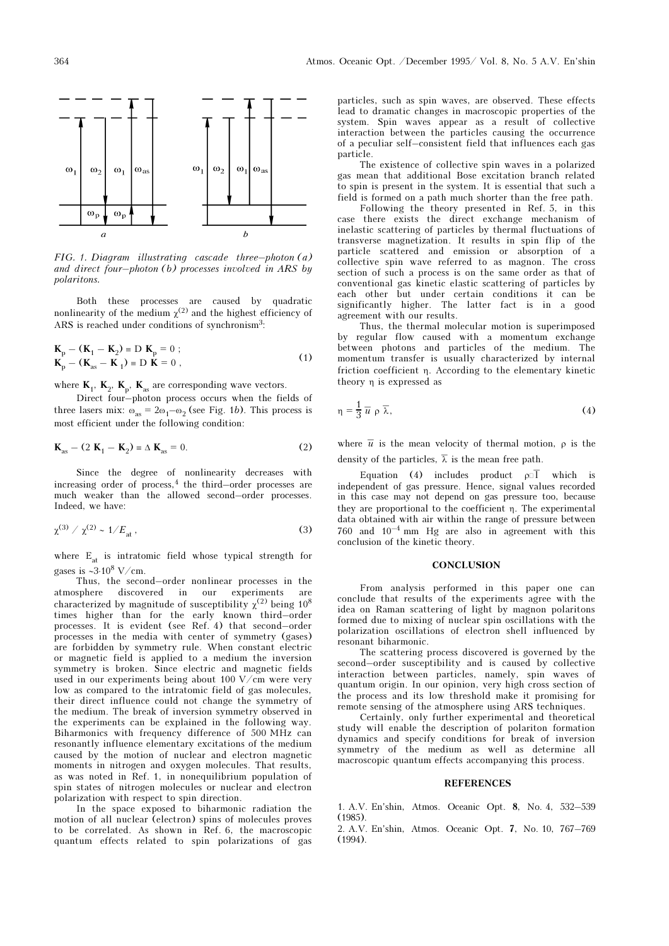

FIG. 1. Diagram illustrating cascade three–photon (a) and direct four-photon  $(b)$  processes involved in ARS by polaritons.

Both these processes are caused by quadratic nonlinearity of the medium  $\chi^{(2)}$  and the highest efficiency of ARS is reached under conditions of synchronism3:

$$
\mathbf{K}_{\mathbf{p}} - (\mathbf{K}_{1} - \mathbf{K}_{2}) \equiv \mathbf{D} \mathbf{K}_{\mathbf{p}} = 0 ;
$$
\n
$$
\mathbf{K}_{\mathbf{p}} - (\mathbf{K}_{\mathbf{as}} - \mathbf{K}_{1}) \equiv \mathbf{D} \mathbf{K} = 0 ,
$$
\n(1)

where  $\mathbf{K}_1$ ,  $\mathbf{K}_2$ ,  $\mathbf{K}_p$ ,  $\mathbf{K}_{as}$  are corresponding wave vectors.

Direct four–photon process occurs when the fields of three lasers mix:  $\omega_{as} = 2\omega_1 - \omega_2$  (see Fig. 1b). This process is most efficient under the following condition:

$$
\mathbf{K}_{\text{as}} - (2 \mathbf{K}_1 - \mathbf{K}_2) = \Delta \mathbf{K}_{\text{as}} = 0. \tag{2}
$$

Since the degree of nonlinearity decreases with increasing order of process, $4$  the third–order processes are much weaker than the allowed second–order processes. Indeed, we have:

$$
\chi^{(3)} / \chi^{(2)} \sim 1/E_{\rm at}, \qquad (3)
$$

where  $E_{at}$  is intratomic field whose typical strength for gases is ~3⋅10<sup>8</sup> V/cm.

Thus, the second–order nonlinear processes in the atmosphere discovered in our characterized by magnitude of susceptibility  $\chi^{(2)}$  being 10<sup>8</sup> times higher than for the early known third–order processes. It is evident (see Ref. 4) that second–order processes in the media with center of symmetry (gases) are forbidden by symmetry rule. When constant electric or magnetic field is applied to a medium the inversion symmetry is broken. Since electric and magnetic fields used in our experiments being about 100 V/cm were very low as compared to the intratomic field of gas molecules, their direct influence could not change the symmetry of the medium. The break of inversion symmetry observed in the experiments can be explained in the following way. Biharmonics with frequency difference of 500 MHz can resonantly influence elementary excitations of the medium caused by the motion of nuclear and electron magnetic moments in nitrogen and oxygen molecules. That results, as was noted in Ref. 1, in nonequilibrium population of spin states of nitrogen molecules or nuclear and electron polarization with respect to spin direction.

In the space exposed to biharmonic radiation the motion of all nuclear (electron) spins of molecules proves to be correlated. As shown in Ref. 6, the macroscopic quantum effects related to spin polarizations of gas

particles, such as spin waves, are observed. These effects lead to dramatic changes in macroscopic properties of the system. Spin waves appear as a result of collective interaction between the particles causing the occurrence of a peculiar self–consistent field that influences each gas particle.

The existence of collective spin waves in a polarized gas mean that additional Bose excitation branch related to spin is present in the system. It is essential that such a field is formed on a path much shorter than the free path.

Following the theory presented in Ref. 5, in this case there exists the direct exchange mechanism of inelastic scattering of particles by thermal fluctuations of transverse magnetization. It results in spin flip of the particle scattered and emission or absorption of a collective spin wave referred to as magnon. The cross section of such a process is on the same order as that of conventional gas kinetic elastic scattering of particles by each other but under certain conditions it can be significantly higher. The latter fact is in a good agreement with our results.

Thus, the thermal molecular motion is superimposed by regular flow caused with a momentum exchange between photons and particles of the medium. The momentum transfer is usually characterized by internal friction coefficient η. According to the elementary kinetic theory η is expressed as

$$
\eta = \frac{1}{3} \overline{u} \rho \overline{\lambda}, \qquad (4)
$$

where  $\bar{u}$  is the mean velocity of thermal motion,  $\rho$  is the density of the particles,  $\bar{\lambda}$  is the mean free path.

Equation (4) includes product  $\rho \bar{I}$  which is independent of gas pressure. Hence, signal values recorded in this case may not depend on gas pressure too, because they are proportional to the coefficient η. The experimental data obtained with air within the range of pressure between 760 and  $10^{-4}$  mm Hg are also in agreement with this conclusion of the kinetic theory.

### **CONCLUSION**

From analysis performed in this paper one can conclude that results of the experiments agree with the idea on Raman scattering of light by magnon polaritons formed due to mixing of nuclear spin oscillations with the polarization oscillations of electron shell influenced by resonant biharmonic.

The scattering process discovered is governed by the second–order susceptibility and is caused by collective interaction between particles, namely, spin waves of quantum origin. In our opinion, very high cross section of the process and its low threshold make it promising for remote sensing of the atmosphere using ARS techniques.

Certainly, only further experimental and theoretical study will enable the description of polariton formation dynamics and specify conditions for break of inversion symmetry of the medium as well as determine all macroscopic quantum effects accompanying this process.

#### **REFERENCES**

1. A.V. En'shin, Atmos. Oceanic Opt. 8, No. 4, 532–539 (1985).

2. A.V. En'shin, Atmos. Oceanic Opt. 7, No. 10, 767–769 (1994).